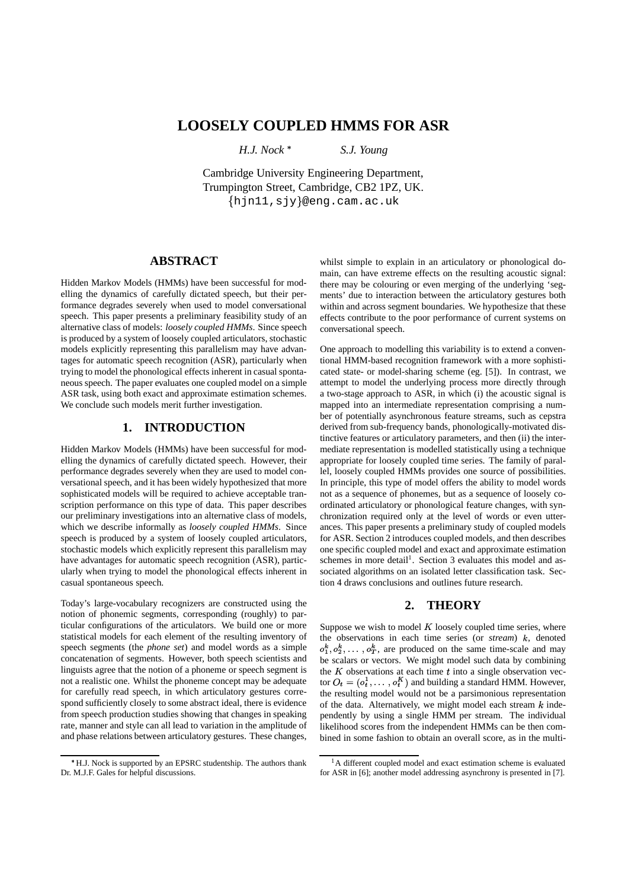# **LOOSELY COUPLED HMMS FOR ASR**

*H.J. Nock*

*S.J. Young*

Cambridge University Engineering Department, Trumpington Street, Cambridge, CB2 1PZ, UK.  $\{ \text{hjnl1}, \text{siy} \}$ @eng.cam.ac.uk

## **ABSTRACT**

Hidden Markov Models (HMMs) have been successful for modelling the dynamics of carefully dictated speech, but their performance degrades severely when used to model conversational speech. This paper presents a preliminary feasibility study of an alternative class of models: *loosely coupled HMMs*. Since speech is produced by a system of loosely coupled articulators, stochastic models explicitly representing this parallelism may have advantages for automatic speech recognition (ASR), particularly when trying to model the phonological effects inherent in casual spontaneous speech. The paper evaluates one coupled model on a simple ASR task, using both exact and approximate estimation schemes. We conclude such models merit further investigation.

## **1. INTRODUCTION**

Hidden Markov Models (HMMs) have been successful for modelling the dynamics of carefully dictated speech. However, their performance degrades severely when they are used to model conversational speech, and it has been widely hypothesized that more sophisticated models will be required to achieve acceptable transcription performance on this type of data. This paper describes our preliminary investigations into an alternative class of models, which we describe informally as *loosely coupled HMMs*. Since speech is produced by a system of loosely coupled articulators, stochastic models which explicitly represent this parallelism may have advantages for automatic speech recognition (ASR), particularly when trying to model the phonological effects inherent in casual spontaneous speech.

Today's large-vocabulary recognizers are constructed using the notion of phonemic segments, corresponding (roughly) to particular configurations of the articulators. We build one or more statistical models for each element of the resulting inventory of speech segments (the *phone set*) and model words as a simple concatenation of segments. However, both speech scientists and linguists agree that the notion of a phoneme or speech segment is not a realistic one. Whilst the phoneme concept may be adequate for carefully read speech, in which articulatory gestures correspond sufficiently closely to some abstract ideal, there is evidence from speech production studies showing that changes in speaking rate, manner and style can all lead to variation in the amplitude of and phase relations between articulatory gestures. These changes,

whilst simple to explain in an articulatory or phonological domain, can have extreme effects on the resulting acoustic signal: there may be colouring or even merging of the underlying 'segments' due to interaction between the articulatory gestures both within and across segment boundaries. We hypothesize that these effects contribute to the poor performance of current systems on conversational speech.

One approach to modelling this variability is to extend a conventional HMM-based recognition framework with a more sophisticated state- or model-sharing scheme (eg. [5]). In contrast, we attempt to model the underlying process more directly through a two-stage approach to ASR, in which (i) the acoustic signal is mapped into an intermediate representation comprising a number of potentially asynchronous feature streams, such as cepstra derived from sub-frequency bands, phonologically-motivated distinctive features or articulatory parameters, and then (ii) the intermediate representation is modelled statistically using a technique appropriate for loosely coupled time series. The family of parallel, loosely coupled HMMs provides one source of possibilities. In principle, this type of model offers the ability to model words not as a sequence of phonemes, but as a sequence of loosely coordinated articulatory or phonological feature changes, with synchronization required only at the level of words or even utterances. This paper presents a preliminary study of coupled models for ASR. Section 2 introduces coupled models, and then describes one specific coupled model and exact and approximate estimation schemes in more detail<sup>1</sup>. Section 3 evaluates this model and associated algorithms on an isolated letter classification task. Section 4 draws conclusions and outlines future research.

## **2. THEORY**

Suppose we wish to model  $K$  loosely coupled time series, where the observations in each time series (or  $stream$ )  $k$ , denoted  $o_1^k, o_2^k, \ldots, o_T^k$ , are produced on the same time-scale and may be scalars or vectors. We might model such data by combining the  $K$  observations at each time  $t$  into a single observation vector  $O_t = (o_t^1, \ldots, o_t^K)$  and building a standard HMM. However, the resulting model would not be a parsimonious representation of the data. Alternatively, we might model each stream  $k$  independently by using a single HMM per stream. The individual likelihood scores from the independent HMMs can be then combined in some fashion to obtain an overall score, as in the multi-

<sup>\*</sup>H.J. Nock is supported by an EPSRC studentship. The authors thank Dr. M.J.F. Gales for helpful discussions.

<sup>&</sup>lt;sup>1</sup>A different coupled model and exact estimation scheme is evaluated for ASR in [6]; another model addressing asynchrony is presented in [7].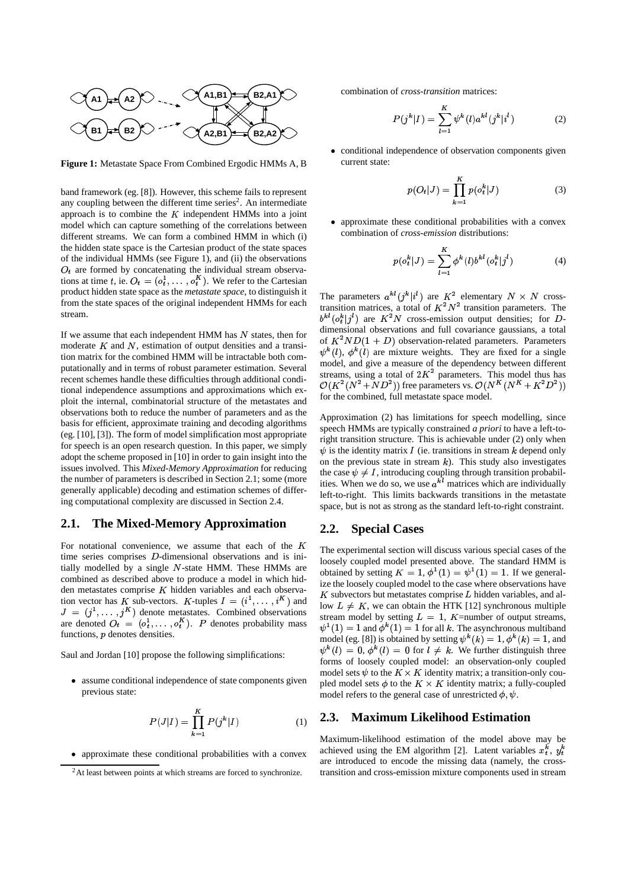

**Figure 1:** Metastate Space From Combined Ergodic HMMs A, B

band framework (eg. [8]). However, this scheme fails to represent any coupling between the different time series<sup>2</sup>. An intermediate approach is to combine the  $K$  independent HMMs into a joint model which can capture something of the correlations between different streams. We can form a combined HMM in which (i) the hidden state space is the Cartesian product of the state spaces of the individual HMMs (see Figure 1), and (ii) the observations  $O_t$  are formed by concatenating the individual stream observations at time t, ie.  $O_t = (o_t^1, \ldots, o_t^K)$ . We refer to the Cartesian product hidden state space as the *metastate space*, to distinguish it from the state spaces of the original independent HMMs for each stream.

If we assume that each independent HMM has  $N$  states, then for moderate  $K$  and  $N$ , estimation of output densities and a transition matrix for the combined HMM will be intractable both computationally and in terms of robust parameter estimation. Several recent schemes handle these difficulties through additional conditional independence assumptions and approximations which exploit the internal, combinatorial structure of the metastates and observations both to reduce the number of parameters and as the basis for efficient, approximate training and decoding algorithms (eg. [10], [3]). The form of model simplification most appropriate for speech is an open research question. In this paper, we simply adopt the scheme proposed in [10] in order to gain insight into the issues involved. This *Mixed-Memory Approximation* for reducing the number of parameters is described in Section 2.1; some (more generally applicable) decoding and estimation schemes of differing computational complexity are discussed in Section 2.4.

#### **2.1. The Mixed-Memory Approximation**

For notational convenience, we assume that each of the  $K$ time series comprises *D*-dimensional observations and is initially modelled by a single  $N$ -state HMM. These HMMs are combined as described above to produce a model in which hidden metastates comprise  $K$  hidden variables and each observation vector has K sub-vectors. K-tuples  $I = (i^1, \dots, i^K)$  and  $\lim_{l \to \infty}$  $J = (j^1, \dots, j^K)$  denote metastates. Combined observations are denoted  $O_t = (o_t^1, \ldots, o_t^K)$ .  $\mathbf{a}_t^{\mathsf{T}}, \ldots, \mathbf{o}_t^{\mathsf{K}}$ ). P denotes probability mass functions,  $p$  denotes densities.

Saul and Jordan [10] propose the following simplifications:

 assume conditional independence of state components given previous state:

$$
P(J|I) = \prod_{k=1}^{K} P(j^k|I)
$$
 (1)

approximate these conditional probabilities with a convex

combination of *cross-transition* matrices:

$$
P(j^k|I) = \sum_{l=1}^{K} \psi^k(l) a^{kl} (j^k | i^l)
$$
 (2)

 conditional independence of observation components given current state:

$$
p(O_t|J) = \prod_{k=1}^{K} p(o_t^k|J)
$$
 (3)

 approximate these conditional probabilities with a convex combination of *cross-emission* distributions:

$$
p(o_t^k|J) = \sum_{l=1}^K \phi^k(l) b^{kl} (o_t^k | j^l)
$$
 (4)

The parameters  $a^{kl}(j^k|i^l)$  are  $K^2$  elementary  $N \times N$  crosstransition matrices, a total of  $K^2N^2$  transition parameters. The  $b^{kl}(o_t^k|j^l)$  are  $K^2N$  cross-emission output densities; for Ddimensional observations and full covariance gaussians, a total of  $K^2ND(1+D)$  observation-related parameters. Parameters model, and give a measure of the dependency between different  $\kappa^k(l)$ ,  $\phi^k(l)$  are mixture weights. They are fixed for a single streams, using a total of  $2K^2$  parameters. This model thus has  $\mathcal{O}(K^2(N^2+ND^2))$  free parameters vs.  $\mathcal{O}(N^K(N^K+N^2D^2))$ for the combined, full metastate space model.

Approximation (2) has limitations for speech modelling, since speech HMMs are typically constrained *a priori* to have a left-toright transition structure. This is achievable under (2) only when on the previous state in stream  $k$ ). This study also investigates  $\psi$  is the identity matrix I (ie. transitions in stream k depend only the case  $\psi \neq I$ , introducing coupling through transition probabilities. When we do so, we use  $a^{kl}$  matrices which are individually left-to-right. This limits backwards transitions in the metastate space, but is not as strong as the standard left-to-right constraint.

#### **2.2. Special Cases**

The experimental section will discuss various special cases of the loosely coupled model presented above. The standard HMM is obtained by setting  $K = 1$ ,  $\phi^1(1) = \psi^1(1) = 1$ . If we general- ize the loosely coupled model to the case where observations have  $K$  subvectors but metastates comprise  $L$  hidden variables, and allow  $L \neq K$ , we can obtain the HTK [12] synchronous multiple stream model by setting  $L = 1$ ,  $K$ =number of output streams, model (eg. [8]) is obtained by setting  $\psi^k(k) = 1, \phi^k(k) = 1$ , and  $(1) = 1$  and  $\phi^k(1) = 1$  for all k. The asynchronous multiband  $f^*(l) = 0, \, \phi^*(l) = 0$  for  $l \neq k$ . We further distinguish three forms of loosely coupled model: an observation-only coupled model sets  $\psi$  to the  $K \times K$  identity matrix; a transition-only coupled model sets  $\phi$  to the  $K \times K$  identity matrix; a fully-coupled model refers to the general case of unrestricted  $\phi$ ,  $\psi$ .

### **2.3. Maximum Likelihood Estimation**

Maximum-likelihood estimation of the model above may be achieved using the EM algorithm [2]. Latent variables  $x_t^k$ ,  $y_t^k$ are introduced to encode the missing data (namely, the crosstransition and cross-emission mixture components used in stream

<sup>&</sup>lt;sup>2</sup>At least between points at which streams are forced to synchronize.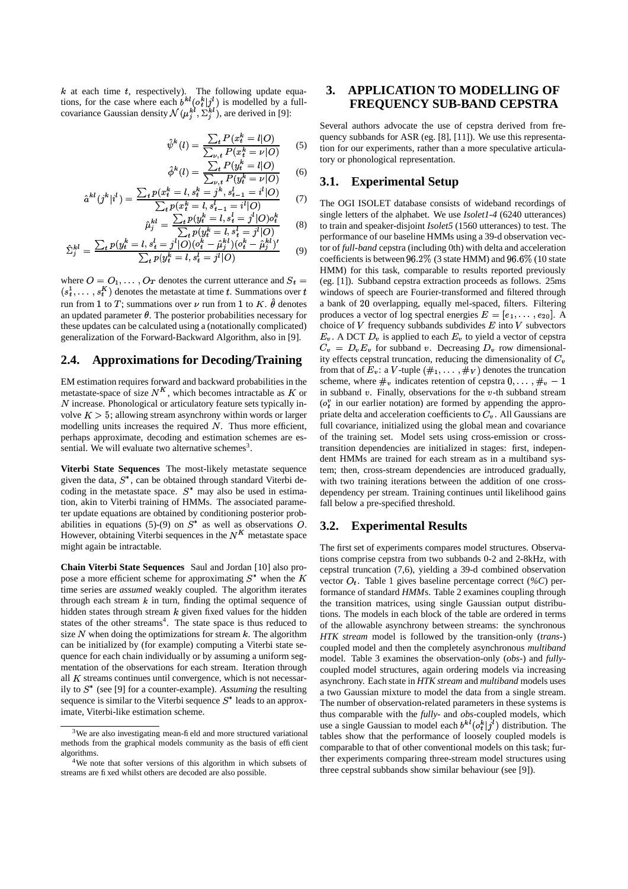$k$  at each time  $t$ , respectively). The following update equations, for the case where each  $b^{kl} (o_l^k | j^l)$  is modelled by a fullcovariance Gaussian density  $\mathcal{N}(\mu_i^{k}, \Sigma_i^{k})$ , are derived in [9]:

$$
\hat{\psi}^k(l) = \frac{\sum_t P(x_t^k = l | O)}{\sum_{\nu, t} P(x_t^k = \nu | O)} \qquad (5)
$$

$$
\hat{\phi}^{k}(l) = \frac{\sum_{t} P(y_{t}^{k} = l | O)}{\sum_{\substack{\nu, t \\ k} P(y_{t}^{k} = \nu | O)}} \qquad (6)
$$

$$
\hat{a}^{kl}(j^k|i^l) = \frac{\sum_t p(x_t^k = l, s_t^k = j^k, s_{t-1}^l = i^l|O)}{\sum_t p(x_t^k = l, s_{t-1}^l = i^l|O)} \tag{7}
$$

$$
\hat{\mu}_j^{kl} = \frac{\sum_t p(y_i^k = l, s_t^l = j^l | O) o_t^k}{\sum_t p(y_i^k = l, s_t^l = j^l | O)} \tag{8}
$$

$$
\hat{\Sigma}_j^{kl} = \frac{\sum_t p(y_t^k = l, s_t^l = j^l | O)(o_t^k - \hat{\mu}_j^{kl})(o_t^k - \hat{\mu}_j^{kl})'}{\sum_t p(y_t^k = l, s_t^l = j^l | O)}
$$
(9)

where  $O = O_1, \ldots, O_T$  denotes the current utterance and  $S_t = (eg, [1])$ . Su  $(s_t^1, \ldots, s_t^K)$  denotes the metastate at time t. Summations over  $t$  wire run from 1 to T; summations over  $\nu$  run from 1 to K.  $\hat{\theta}$  denotes an updated parameter  $\theta$ . The posterior probabilities necessary for these updates can be calculated using a (notationally complicated) generalization of the Forward-Backward Algorithm, also in [9].

#### **2.4. Approximations for Decoding/Training**

EM estimation requires forward and backward probabilities in the metastate-space of size  $N<sup>K</sup>$ , which becomes intractable as K or in subband v  $N$  increase. Phonological or articulatory feature sets typically involve  $K > 5$ ; allowing stream asynchrony within words or larger modelling units increases the required  $N$ . Thus more efficient, perhaps approximate, decoding and estimation schemes are essential. We will evaluate two alternative schemes<sup>3</sup>.

**Viterbi State Sequences** The most-likely metastate sequence given the data,  $S^*$ , can be obtained through standard Viterbi decoding in the metastate space.  $S^*$  may also be used in estimation, akin to Viterbi training of HMMs. The associated parameter update equations are obtained by conditioning posterior probabilities in equations (5)-(9) on  $S^*$  as well as observations O. However, obtaining Viterbi sequences in the  $N<sup>K</sup>$  metastate space might again be intractable.

**Chain Viterbi State Sequences** Saul and Jordan [10] also propose a more efficient scheme for approximating  $S^*$  when the K time series are *assumed* weakly coupled. The algorithm iterates through each stream  $k$  in turn, finding the optimal sequence of hidden states through stream  $k$  given fixed values for the hidden states of the other streams<sup>4</sup>. The state space is thus reduced to size  $N$  when doing the optimizations for stream  $k$ . The algorithm can be initialized by (for example) computing a Viterbi state sequence for each chain individually or by assuming a uniform segmentation of the observations for each stream. Iteration through all  $K$  streams continues until convergence, which is not necessarily to  $S^*$  (see [9] for a counter-example). Assuming the resulting sequence is similar to the Viterbi sequence  $S^*$  leads to an approximate, Viterbi-like estimation scheme.

## **3. APPLICATION TO MODELLING OF FREQUENCY SUB-BAND CEPSTRA**

Several authors advocate the use of cepstra derived from frequency subbands for ASR (eg. [8], [11]). We use this representation for our experiments, rather than a more speculative articulatory or phonological representation.

## **3.1. Experimental Setup**

The OGI ISOLET database consists of wideband recordings of single letters of the alphabet. We use *Isolet1-4* (6240 utterances) to train and speaker-disjoint *Isolet5* (1560 utterances) to test. The performance of our baseline HMMs using a 39-d observation vector of *full-band* cepstra (including 0th) with delta and acceleration coefficients is between  $96.2\%$  (3 state HMM) and  $96.6\%$  (10 state HMM) for this task, comparable to results reported previously (eg. [1]). Subband cepstra extraction proceeds as follows. 25ms windows of speech are Fourier-transformed and filtered through a bank of 20 overlapping, equally mel-spaced, filters. Filtering produces a vector of log spectral energies  $E = [e_1, \ldots, e_{20}]$ . A choice of  $V$  frequency subbands subdivides  $E$  into  $V$  subvectors  $E_v$ . A DCT  $D_v$  is applied to each  $E_v$  to yield a vector of cepstra  $C_v = D_v E_v$  for subband v. Decreasing  $D_v$  row dimensionality effects cepstral truncation, reducing the dimensionality of  $C_v$ from that of  $E_v$ : a V-tuple  $(\#_1, \ldots, \#_V)$  denotes the truncation scheme, where  $\#_v$  indicates retention of cepstra  $0, \ldots, \#_v - 1$ in subband  $v$ . Finally, observations for the  $v$ -th subband stream  $(o<sub>t</sub><sup>v</sup>$  in our earlier notation) are formed by appending the appropriate delta and acceleration coefficients to  $C_v$ . All Gaussians are full covariance, initialized using the global mean and covariance of the training set. Model sets using cross-emission or crosstransition dependencies are initialized in stages: first, independent HMMs are trained for each stream as in a multiband system; then, cross-stream dependencies are introduced gradually, with two training iterations between the addition of one crossdependency per stream. Training continues until likelihood gains fall below a pre-specified threshold.

#### **3.2. Experimental Results**

when the  $K$  vector  $O_t$ . Table 1 gives baseline percentage correct (%C) per-The first set of experiments compares model structures. Observations comprise cepstra from two subbands 0-2 and 2-8kHz, with cepstral truncation (7,6), yielding a 39-d combined observation formance of standard *HMM*s. Table 2 examines coupling through the transition matrices, using single Gaussian output distributions. The models in each block of the table are ordered in terms of the allowable asynchrony between streams: the synchronous *HTK stream* model is followed by the transition-only (*trans-*) coupled model and then the completely asynchronous *multiband* model. Table 3 examines the observation-only (*obs-*) and *fully*coupled model structures, again ordering models via increasing asynchrony. Each state in *HTK stream* and *multiband* models uses a two Gaussian mixture to model the data from a single stream. The number of observation-related parameters in these systems is thus comparable with the *fully-* and *obs-*coupled models, which use a single Gaussian to model each  $b^{k}$ <sup> $(c^k_i|j^l)$ </sup> distribution. The tables show that the performance of loosely coupled models is comparable to that of other conventional models on this task; further experiments comparing three-stream model structures using three cepstral subbands show similar behaviour (see [9]).

<sup>&</sup>lt;sup>3</sup>We are also investigating mean-field and more structured variational methods from the graphical models community as the basis of efficient algorithms.

<sup>4</sup>We note that softer versions of this algorithm in which subsets of streams are fixed whilst others are decoded are also possible.